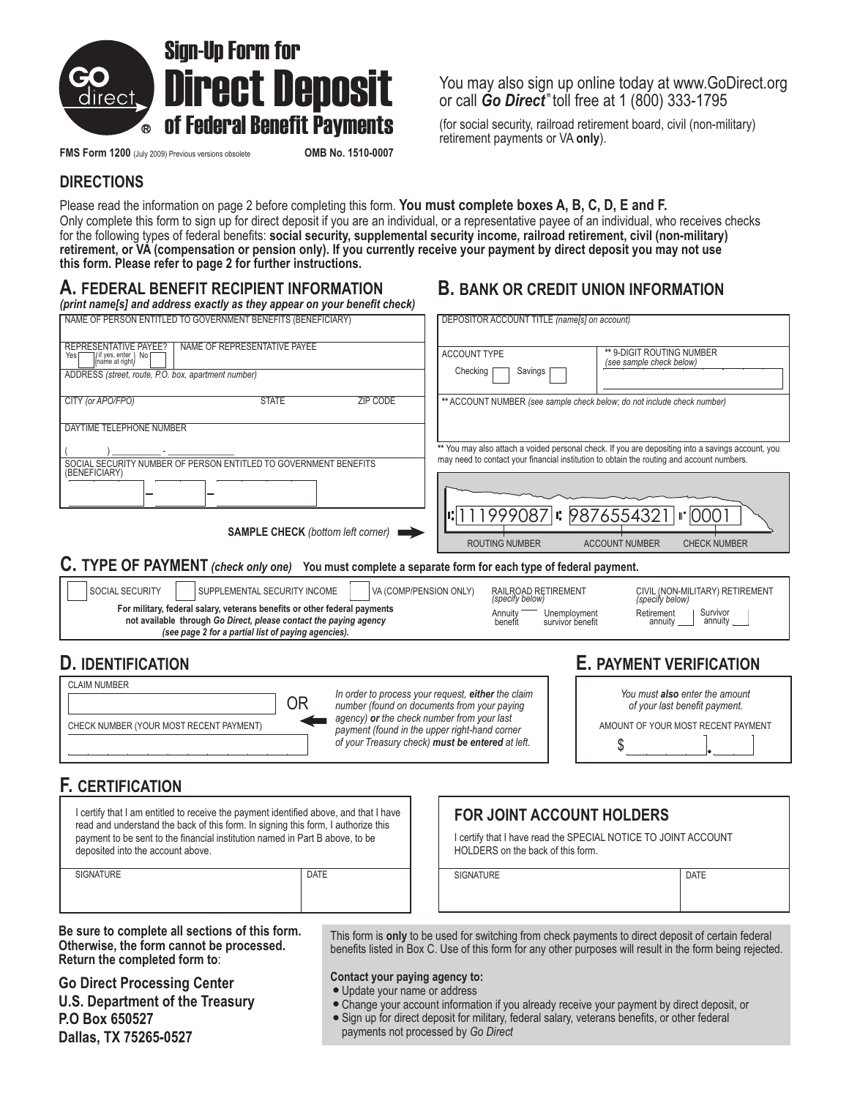

**FMS Form 1200** (July 2009) Previous versions obsolete **OMB No. 1510-0007** 

You may also sign up online today at www.GoDirect.org or call **Go Direct**<sup>®</sup> toll free at 1 (800) 333-1795

**of Federal Benefit Payments** (for social security, railroad retirement board, civil (non-military) retirement payments or VA only).

# **DIRECTIONS**

Please read the information on page 2 before completing this form. **You must complete boxes A, B, C, D, E and F.** Only complete this form to sign up for direct deposit if you are an individual, or a representative payee of an individual, who receives checks for the following types of federal benefits: **social security, supplemental security income, railroad retirement, civil (non-military) retirement, or VA (compensation or pension only). If you currently receive your payment by direct deposit you may not use this form. Please refer to page 2 for further instructions.**

# **A. FEDERAL BENEFIT RECIPIENT INFORMATION**

# **B. BANK OR CREDIT UNION INFORMATION**

| (print name[s] and address exactly as they appear on your benefit check)                                                                                                                              |                                                                                                                                                                                                |
|-------------------------------------------------------------------------------------------------------------------------------------------------------------------------------------------------------|------------------------------------------------------------------------------------------------------------------------------------------------------------------------------------------------|
| NAME OF PERSON ENTITLED TO GOVERNMENT BENEFITS (BENEFICIARY)                                                                                                                                          | DEPOSITOR ACCOUNT TITLE (name[s] on account)                                                                                                                                                   |
| NAME OF REPRESENTATIVE PAYEE<br><b>REPRESENTATIVE PAYEE?</b><br>if yes, enter<br>name at right) No                                                                                                    | ** 9-DIGIT ROUTING NUMBER<br><b>ACCOUNT TYPE</b><br>(see sample check below)                                                                                                                   |
| ADDRESS (street, route, P.O. box, apartment number)                                                                                                                                                   | Checking<br>Savings                                                                                                                                                                            |
| CITY (or APO/FPO)<br><b>STATE</b><br><b>ZIP CODE</b>                                                                                                                                                  | ** ACCOUNT NUMBER (see sample check below; do not include check number)                                                                                                                        |
| DAYTIME TELEPHONE NUMBER                                                                                                                                                                              |                                                                                                                                                                                                |
| SOCIAL SECURITY NUMBER OF PERSON ENTITLED TO GOVERNMENT BENEFITS                                                                                                                                      | ** You may also attach a voided personal check. If you are depositing into a savings account, you<br>may need to contact your financial institution to obtain the routing and account numbers. |
| (BENEFICIARY)                                                                                                                                                                                         |                                                                                                                                                                                                |
|                                                                                                                                                                                                       | $\left  \cdot \right $ 111999087 $\left  \cdot \right $ 9876554321<br>$\mathsf{II}^{\bullet}$ 0001                                                                                             |
| <b>SAMPLE CHECK</b> (bottom left corner)                                                                                                                                                              | <b>ROUTING NUMBER</b><br><b>ACCOUNT NUMBER</b><br><b>CHECK NUMBER</b>                                                                                                                          |
| C. TYPE OF PAYMENT (check only one) You must complete a separate form for each type of federal payment.                                                                                               |                                                                                                                                                                                                |
| SOCIAL SECURITY<br>SUPPLEMENTAL SECURITY INCOME<br>VA (COMP/PENSION ONLY)                                                                                                                             | RAILROAD RETIREMENT<br>CIVIL (NON-MILITARY) RETIREMENT<br>(specify below)<br>(specify below)                                                                                                   |
| For military, federal salary, veterans benefits or other federal payments<br>not available through Go Direct, please contact the paying agency<br>(see page 2 for a partial list of paying agencies). | Survivor<br>Retirement<br>Annuity<br>Unemployment<br>annuity ____<br>benefit<br>survivor benefit<br>annuity                                                                                    |
| <b>D. IDENTIFICATION</b>                                                                                                                                                                              | <b>E. PAYMENT VERIFICATION</b>                                                                                                                                                                 |
| <b>CLAIM NUMBER</b><br>ΟR                                                                                                                                                                             | In order to process your request, either the claim<br>You must also enter the amount<br>number (found on documents from your paying<br>of your last benefit payment.                           |
| agency) or the check number from your last<br>CHECK NUMBER (YOUR MOST RECENT PAYMENT)                                                                                                                 | AMOUNT OF YOUR MOST RECENT PAYMENT<br>payment (found in the upper right-hand corner                                                                                                            |
|                                                                                                                                                                                                       | of your Treasury check) must be entered at left.<br>\$                                                                                                                                         |
| <b>F. CERTIFICATION</b>                                                                                                                                                                               |                                                                                                                                                                                                |
| I certify that I am entitled to receive the payment identified above, and that I have                                                                                                                 | <b>FOR JOINT ACCOUNT HOLDERS</b>                                                                                                                                                               |
| read and understand the back of this form. In signing this form, I authorize this<br>and a contract of the state of the contract of the contract of the                                               | $\sim$ 10. CDECM NOTICE TO JOUT LOCAULT                                                                                                                                                        |

payment to be sent to the financial institution named in Part B above, to be deposited into the account above.

SIGNATURE DATE

I certify that I have read the SPECIAL NOTICE TO JOINT ACCOUNT HOLDERS on the back of this form.

SIGNATURE DATE

**Be sure to complete all sections of this form. Otherwise, the form cannot be processed. Return the completed form to**:

# **Go Direct Processing Center**

**U.S. Department of the Treasury P.O Box 650527 Dallas, TX 75265-0527**

This form is only to be used for switching from check payments to direct deposit of certain federal benefits listed in Box C. Use of this form for any other purposes will result in the form being rejected.

#### **Contact your paying agency to:**

- Update your name or address
- Change your account information if you already receive your payment by direct deposit, or
- Sign up for direct deposit for military, federal salary, veterans benefits, or other federal
	- payments not processed by *Go Direct*